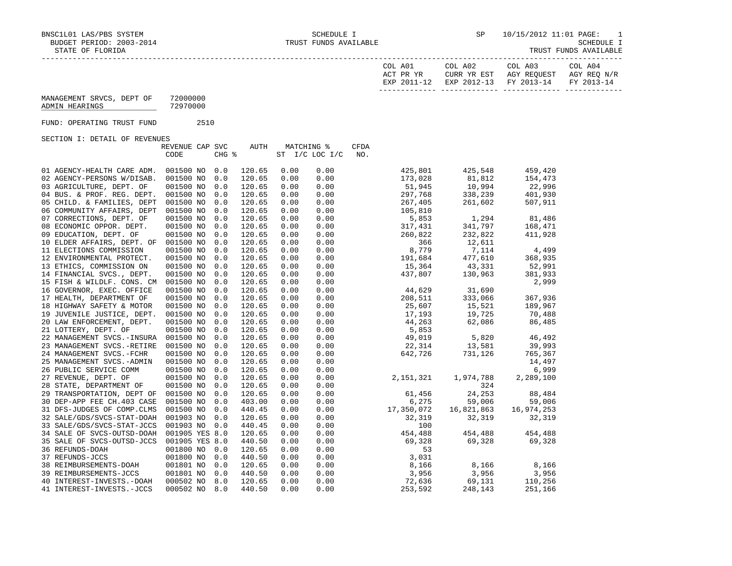BNSC1L01 LAS/PBS SYSTEM SCHEDULE I SCHEDULE I SER STRUG STRUGET PERIOD: 2003-2014 TRUST FUNDS AVAILABLE BUDGET PERIOD: 2003-2014 TRUST FUNDS AVAILABLE SCHEDULE I

TRUST FUNDS AVAILABLE

| COL A01<br>ACT PR YR | COL A02<br>CURR YR EST            | COL A03<br>AGY REOUEST | COL A04<br>AGY REO N/R |
|----------------------|-----------------------------------|------------------------|------------------------|
| EXP 2011-12          | EXP 2012-13 FY 2013-14 FY 2013-14 |                        |                        |

| MANAGEMENT SRVCS, DEPT OF | 72000000 |
|---------------------------|----------|
| ADMIN HEARINGS            | 72970000 |

FUND: OPERATING TRUST FUND 2510

SECTION I: DETAIL OF REVENUES

| ORCITOM I: DRIAIN OF KRYBNOBO |                 |       |        |      |                |             |            |            |
|-------------------------------|-----------------|-------|--------|------|----------------|-------------|------------|------------|
|                               | REVENUE CAP SVC |       | AUTH   |      | MATCHING %     | <b>CFDA</b> |            |            |
|                               | CODE            | CHG % |        |      | ST I/C LOC I/C | NO.         |            |            |
| 01 AGENCY-HEALTH CARE ADM.    | 001500 NO       | 0.0   | 120.65 | 0.00 | 0.00           | 425,801     | 425,548    | 459,420    |
| 02 AGENCY-PERSONS W/DISAB.    | 001500 NO       | 0.0   | 120.65 | 0.00 | 0.00           | 173,028     | 81,812     | 154,473    |
| 03 AGRICULTURE, DEPT. OF      | 001500 NO       | 0.0   | 120.65 | 0.00 | 0.00           | 51,945      | 10,994     | 22,996     |
| 04 BUS. & PROF. REG. DEPT.    | 001500 NO       | 0.0   | 120.65 | 0.00 | 0.00           | 297,768     | 338,239    | 401,930    |
| 05 CHILD. & FAMILIES, DEPT    | 001500 NO       | 0.0   | 120.65 | 0.00 | 0.00           | 267,405     | 261,602    | 507,911    |
| 06 COMMUNITY AFFAIRS, DEPT    | 001500 NO       | 0.0   | 120.65 | 0.00 | 0.00           | 105,810     |            |            |
| 07 CORRECTIONS, DEPT. OF      | 001500 NO       | 0.0   | 120.65 | 0.00 | 0.00           | 5,853       | 1,294      | 81,486     |
| 08 ECONOMIC OPPOR. DEPT.      | 001500 NO       | 0.0   | 120.65 | 0.00 | 0.00           | 317,431     | 341,797    | 168,471    |
| 09 EDUCATION, DEPT. OF        | 001500 NO       | 0.0   | 120.65 | 0.00 | 0.00           | 260,822     | 232,822    | 411,928    |
| 10 ELDER AFFAIRS, DEPT. OF    | 001500 NO       | 0.0   | 120.65 | 0.00 | 0.00           | 366         | 12,611     |            |
| 11 ELECTIONS COMMISSION       | 001500 NO       | 0.0   | 120.65 | 0.00 | 0.00           | 8,779       | 7,114      | 4,499      |
| 12 ENVIRONMENTAL PROTECT.     | 001500 NO       | 0.0   | 120.65 | 0.00 | 0.00           | 191,684     | 477,610    | 368,935    |
| 13 ETHICS, COMMISSION ON      | 001500 NO       | 0.0   | 120.65 | 0.00 | 0.00           | 15,364      | 43,331     | 52,991     |
| 14 FINANCIAL SVCS., DEPT.     | 001500 NO       | 0.0   | 120.65 | 0.00 | 0.00           | 437,807     | 130,963    | 381,933    |
| 15 FISH & WILDLF. CONS. CM    | 001500 NO       | 0.0   | 120.65 | 0.00 | 0.00           |             |            | 2,999      |
| 16 GOVERNOR, EXEC. OFFICE     | 001500 NO       | 0.0   | 120.65 | 0.00 | 0.00           | 44,629      | 31,690     |            |
| 17 HEALTH, DEPARTMENT OF      | 001500 NO       | 0.0   | 120.65 | 0.00 | 0.00           | 208,511     | 333,066    | 367,936    |
| 18 HIGHWAY SAFETY & MOTOR     | 001500 NO       | 0.0   | 120.65 | 0.00 | 0.00           | 25,607      | 15,521     | 189,967    |
| 19 JUVENILE JUSTICE, DEPT.    | 001500 NO       | 0.0   | 120.65 | 0.00 | 0.00           | 17,193      | 19,725     | 70,488     |
| 20 LAW ENFORCEMENT, DEPT.     | 001500 NO       | 0.0   | 120.65 | 0.00 | 0.00           | 44,263      | 62,086     | 86,485     |
| 21 LOTTERY, DEPT. OF          | 001500 NO       | 0.0   | 120.65 | 0.00 | 0.00           | 5,853       |            |            |
| 22 MANAGEMENT SVCS.-INSURA    | 001500 NO       | 0.0   | 120.65 | 0.00 | 0.00           | 49,019      | 5,820      | 46,492     |
| 23 MANAGEMENT SVCS.-RETIRE    | 001500 NO       | 0.0   | 120.65 | 0.00 | 0.00           | 22,314      | 13,581     | 39,993     |
| 24 MANAGEMENT SVCS.-FCHR      | 001500 NO       | 0.0   | 120.65 | 0.00 | 0.00           | 642,726     | 731,126    | 765,367    |
| 25 MANAGEMENT SVCS.-ADMIN     | 001500 NO       | 0.0   | 120.65 | 0.00 | 0.00           |             |            | 14,497     |
| 26 PUBLIC SERVICE COMM        | 001500 NO       | 0.0   | 120.65 | 0.00 | 0.00           |             |            | 6,999      |
| 27 REVENUE, DEPT. OF          | 001500 NO       | 0.0   | 120.65 | 0.00 | 0.00           | 2,151,321   | 1,974,788  | 2,289,100  |
| 28 STATE, DEPARTMENT OF       | 001500 NO       | 0.0   | 120.65 | 0.00 | 0.00           |             | 324        |            |
| 29 TRANSPORTATION, DEPT OF    | 001500 NO       | 0.0   | 120.65 | 0.00 | 0.00           | 61,456      | 24,253     | 88,484     |
| 30 DEP-APP FEE CH.403 CASE    | 001500 NO       | 0.0   | 403.00 | 0.00 | 0.00           | 6,275       | 59,006     | 59,006     |
| 31 DFS-JUDGES OF COMP.CLMS    | 001500 NO       | 0.0   | 440.45 | 0.00 | 0.00           | 17,350,072  | 16,821,863 | 16,974,253 |
| 32 SALE/GDS/SVCS-STAT-DOAH    | 001903 NO       | 0.0   | 120.65 | 0.00 | 0.00           | 32,319      | 32,319     | 32,319     |
| 33 SALE/GDS/SVCS-STAT-JCCS    | 001903 NO       | 0.0   | 440.45 | 0.00 | 0.00           | 100         |            |            |
| 34 SALE OF SVCS-OUTSD-DOAH    | 001905 YES 8.0  |       | 120.65 | 0.00 | 0.00           | 454,488     | 454,488    | 454,488    |
| 35 SALE OF SVCS-OUTSD-JCCS    | 001905 YES 8.0  |       | 440.50 | 0.00 | 0.00           | 69,328      | 69,328     | 69,328     |
| 36 REFUNDS-DOAH               | 001800 NO       | 0.0   | 120.65 | 0.00 | 0.00           | 53          |            |            |
| 37 REFUNDS-JCCS               | 001800 NO 0.0   |       | 440.50 | 0.00 | 0.00           | 3,031       |            |            |
| 38 REIMBURSEMENTS-DOAH        | 001801 NO       | 0.0   | 120.65 | 0.00 | 0.00           | 8,166       | 8,166      | 8,166      |
| 39 REIMBURSEMENTS-JCCS        | 001801 NO       | 0.0   | 440.50 | 0.00 | 0.00           | 3,956       | 3,956      | 3,956      |
| 40 INTEREST-INVESTS.-DOAH     | 000502 NO 8.0   |       | 120.65 | 0.00 | 0.00           | 72,636      | 69,131     | 110,256    |
| 41 INTEREST-INVESTS.-JCCS     | 000502 NO       | 8.0   | 440.50 | 0.00 | 0.00           | 253,592     | 248,143    | 251,166    |
|                               |                 |       |        |      |                |             |            |            |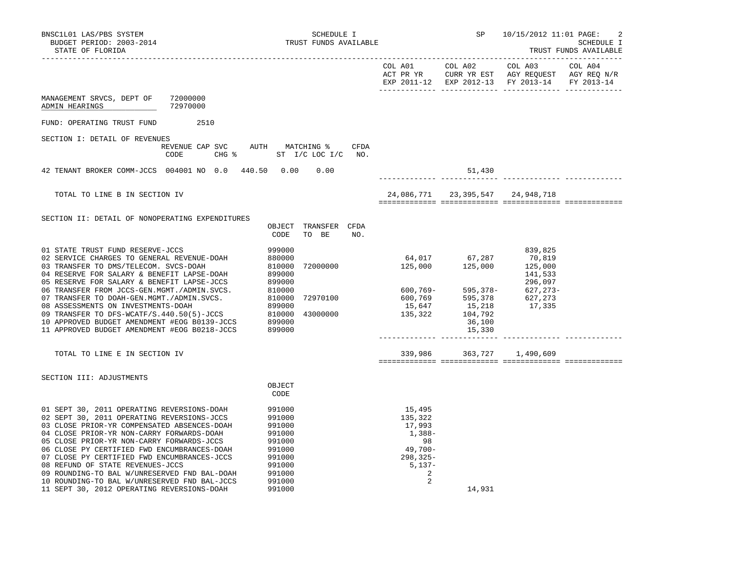| BNSC1L01 LAS/PBS SYSTEM<br>BUDGET PERIOD: 2003-2014<br>STATE OF FLORIDA                                                                                                                                                                                                                                                                                                                                                                                                                                           | SCHEDULE I<br>TRUST FUNDS AVAILABLE                                                                        |                                                                                            |        | SP 10/15/2012 11:01 PAGE:                     | $\overline{c}$<br>SCHEDULE I<br>TRUST FUNDS AVAILABLE |  |
|-------------------------------------------------------------------------------------------------------------------------------------------------------------------------------------------------------------------------------------------------------------------------------------------------------------------------------------------------------------------------------------------------------------------------------------------------------------------------------------------------------------------|------------------------------------------------------------------------------------------------------------|--------------------------------------------------------------------------------------------|--------|-----------------------------------------------|-------------------------------------------------------|--|
|                                                                                                                                                                                                                                                                                                                                                                                                                                                                                                                   |                                                                                                            |                                                                                            |        | EXP 2011-12 EXP 2012-13 FY 2013-14 FY 2013-14 |                                                       |  |
| MANAGEMENT SRVCS, DEPT OF 72000000<br>72970000<br>ADMIN HEARINGS                                                                                                                                                                                                                                                                                                                                                                                                                                                  |                                                                                                            |                                                                                            |        |                                               |                                                       |  |
| FUND: OPERATING TRUST FUND<br>2510                                                                                                                                                                                                                                                                                                                                                                                                                                                                                |                                                                                                            |                                                                                            |        |                                               |                                                       |  |
| SECTION I: DETAIL OF REVENUES<br>CODE                                                                                                                                                                                                                                                                                                                                                                                                                                                                             | REVENUE CAP SVC AUTH MATCHING % CFDA<br>CHG $\frac{1}{2}$ ST I/C LOC I/C NO.                               |                                                                                            |        |                                               |                                                       |  |
| 42 TENANT BROKER COMM-JCCS 004001 NO 0.0 440.50 0.00 0.00                                                                                                                                                                                                                                                                                                                                                                                                                                                         |                                                                                                            |                                                                                            | 51,430 |                                               |                                                       |  |
| TOTAL TO LINE B IN SECTION IV                                                                                                                                                                                                                                                                                                                                                                                                                                                                                     |                                                                                                            |                                                                                            |        | 24,086,771 23,395,547 24,948,718              |                                                       |  |
| SECTION II: DETAIL OF NONOPERATING EXPENDITURES                                                                                                                                                                                                                                                                                                                                                                                                                                                                   | OBJECT TRANSFER CFDA<br>CODE<br>TO BE<br>NO.                                                               |                                                                                            |        |                                               |                                                       |  |
| 01 STATE TRUST FUND RESERVE-JCCS                                                                                                                                                                                                                                                                                                                                                                                                                                                                                  | 999000                                                                                                     |                                                                                            |        | 839,825                                       |                                                       |  |
| TOTAL TO LINE E IN SECTION IV                                                                                                                                                                                                                                                                                                                                                                                                                                                                                     |                                                                                                            | 339,986 363,727 1,490,609                                                                  |        |                                               |                                                       |  |
| SECTION III: ADJUSTMENTS                                                                                                                                                                                                                                                                                                                                                                                                                                                                                          | OBJECT<br>CODE                                                                                             |                                                                                            |        |                                               |                                                       |  |
| 01 SEPT 30, 2011 OPERATING REVERSIONS-DOAH<br>02 SEPT 30, 2011 OPERATING REVERSIONS-JCCS<br>03 CLOSE PRIOR-YR COMPENSATED ABSENCES-DOAH<br>04 CLOSE PRIOR-YR NON-CARRY FORWARDS-DOAH<br>05 CLOSE PRIOR-YR NON-CARRY FORWARDS-JCCS<br>06 CLOSE PY CERTIFIED FWD ENCUMBRANCES-DOAH<br>07 CLOSE PY CERTIFIED FWD ENCUMBRANCES-JCCS<br>08 REFUND OF STATE REVENUES-JCCS<br>09 ROUNDING-TO BAL W/UNRESERVED FND BAL-DOAH<br>10 ROUNDING-TO BAL W/UNRESERVED FND BAL-JCCS<br>11 SEPT 30, 2012 OPERATING REVERSIONS-DOAH | 991000<br>991000<br>991000<br>991000<br>991000<br>991000<br>991000<br>991000<br>991000<br>991000<br>991000 | 15,495<br>135,322<br>17,993<br>1,388-<br>98<br>49,700-<br>$298, 325 -$<br>5,137-<br>2<br>2 | 14,931 |                                               |                                                       |  |